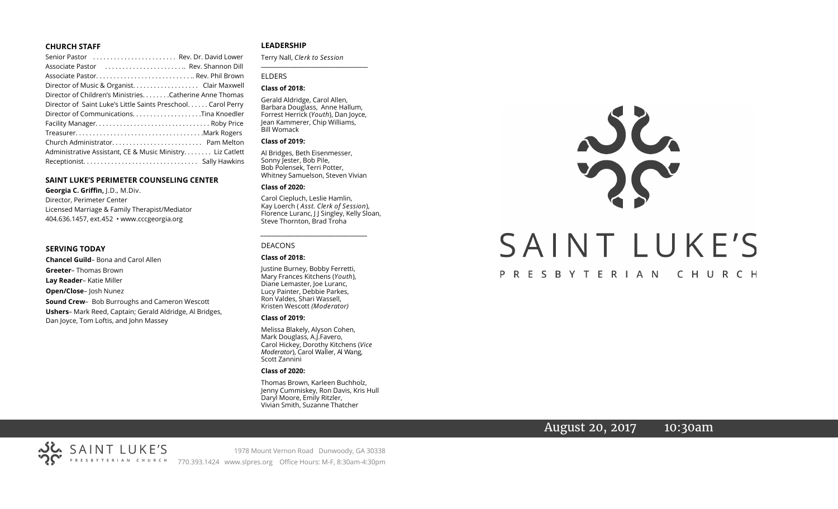#### **CHURCH STAFF**

| Senior Pastor  Rev. Dr. David Lower                          |
|--------------------------------------------------------------|
| Associate Pastor  Rev. Shannon Dill                          |
|                                                              |
| Director of Music & Organist. Clair Maxwell                  |
| Director of Children's Ministries. Catherine Anne Thomas     |
| Director of Saint Luke's Little Saints Preschool Carol Perry |
| Director of CommunicationsTina Knoedler                      |
|                                                              |
|                                                              |
|                                                              |
| Administrative Assistant, CE & Music Ministry Liz Catlett    |
|                                                              |

#### **SAINT LUKE'S PERIMETER COUNSELING CENTER**

**Georgia C. Griffin,** J.D., M.Div. Director, Perimeter Center Licensed Marriage & Family Therapist/Mediator 404.636.1457, ext.452 • www.cccgeorgia.org

#### **SERVING TODAY**

**Chancel Guild**– Bona and Carol Allen **Greeter**– Thomas Brown **Lay Reader**– Katie Miller **Open/Close**– Josh Nunez **Sound Crew**– Bob Burroughs and Cameron Wescott **Ushers**– Mark Reed, Captain; Gerald Aldridge, Al Bridges, Dan Joyce, Tom Loftis, and John Massey

#### **LEADERSHIP**

Terry Nall, *Clerk to Session*  **\_\_\_\_\_\_\_\_\_\_\_\_\_\_\_\_\_\_\_\_\_\_\_\_\_\_\_\_\_\_\_\_\_\_\_\_\_\_\_**

#### ELDERS

#### **Class of 2018:**

Gerald Aldridge, Carol Allen, Barbara Douglass, Anne Hallum, Forrest Herrick (*Youth*), Dan Joyce, Jean Kammerer, Chip Williams, Bill Womack

#### **Class of 2019:**

Al Bridges, Beth Eisenmesser, Sonny Jester, Bob Pile, Bob Polensek, Terri Potter, Whitney Samuelson, Steven Vivian

#### **Class of 2020:**

Carol Ciepluch, Leslie Hamlin, Kay Loerch ( *Asst. Clerk of Session*), Florence Luranc, J J Singley, Kelly Sloan, Steve Thornton, Brad Troha

*\_\_\_\_\_\_\_\_\_\_\_\_\_\_\_\_\_\_\_\_\_\_\_\_\_\_\_\_\_\_\_\_\_\_\_\_\_*

#### DEACONS

#### **Class of 2018:**

Justine Burney, Bobby Ferretti, Mary Frances Kitchens (*Youth*), Diane Lemaster, Joe Luranc, Lucy Painter, Debbie Parkes, Ron Valdes, Shari Wassell, Kristen Wescott *(Moderator)*

#### **Class of 2019:**

Melissa Blakely, Alyson Cohen, Mark Douglass, A.J.Favero, Carol Hickey, Dorothy Kitchens (*Vice Moderator*), Carol Waller, Al Wang, Scott Zannini

#### **Class of 2020:**

Thomas Brown, Karleen Buchholz, Jenny Cummiskey, Ron Davis, Kris Hull Daryl Moore, Emily Ritzler, Vivian Smith, Suzanne Thatcher

# SAINT LUKE'S

#### PRESBYTERIAN CHURCH

## August 20, 2017 10:30am

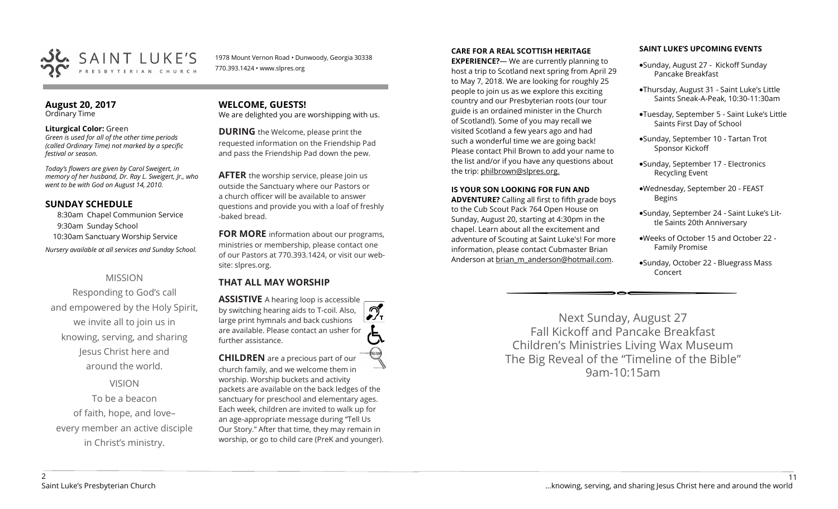

1978 Mount Vernon Road • Dunwoody, Georgia 30338 770.393.1424 • www.slpres.org

#### **August 20, 2017**  Ordinary Time

#### **Liturgical Color:** Green

*Green is used for all of the other time periods (called Ordinary Time) not marked by a specific festival or season.*

*Today's flowers are given by Carol Sweigert, in memory of her husband, Dr. Ray L. Sweigert, Jr., who went to be with God on August 14, 2010.* 

#### **SUNDAY SCHEDULE**

8:30am Chapel Communion Service 9:30am Sunday School 10:30am Sanctuary Worship Service *Nursery available at all services and Sunday School.* 

### MISSION

Responding to God's call and empowered by the Holy Spirit, we invite all to join us in knowing, serving, and sharing Jesus Christ here and around the world.

VISION

To be a beacon of faith, hope, and love– every member an active disciple in Christ's ministry.

# **WELCOME, GUESTS!**

We are delighted you are worshipping with us.

**DURING** the Welcome, please print the requested information on the Friendship Pad and pass the Friendship Pad down the pew.

**AFTER** the worship service, please join us outside the Sanctuary where our Pastors or a church officer will be available to answer questions and provide you with a loaf of freshly -baked bread.

**FOR MORE** information about our programs, ministries or membership, please contact one of our Pastors at 770.393.1424, or visit our website: slpres.org.

## **THAT ALL MAY WORSHIP**

**ASSISTIVE** A hearing loop is accessible  $\mathcal{D}_{\mathbf{r}}$ by switching hearing aids to T-coil. Also, large print hymnals and back cushions are available. Please contact an usher for further assistance. **CHILDREN** are a precious part of our

church family, and we welcome them in worship. Worship buckets and activity packets are available on the back ledges of the sanctuary for preschool and elementary ages. Each week, children are invited to walk up for an age-appropriate message during "Tell Us Our Story." After that time, they may remain in worship, or go to child care (PreK and younger).

#### **CARE FOR A REAL SCOTTISH HERITAGE**

**EXPERIENCE?**— We are currently planning to host a trip to Scotland next spring from April 29 to May 7, 2018. We are looking for roughly 25 people to join us as we explore this exciting country and our Presbyterian roots (our tour guide is an ordained minister in the Church of Scotland!). Some of you may recall we visited Scotland a few years ago and had such a wonderful time we are going back! Please contact Phil Brown to add your name to the list and/or if you have any questions about the trip: philbrown@slpres.org.

#### **IS YOUR SON LOOKING FOR FUN AND**

**ADVENTURE?** Calling all first to fifth grade boys to the Cub Scout Pack 764 Open House on Sunday, August 20, starting at 4:30pm in the chapel. Learn about all the excitement and adventure of Scouting at Saint Luke's! For more information, please contact Cubmaster Brian Anderson at [brian\\_m\\_anderson@hotmail.com.](mailto:brian_m_anderson@hotmail.com)

#### **SAINT LUKE'S UPCOMING EVENTS**

- Sunday, August 27 Kickoff Sunday Pancake Breakfast
- Thursday, August 31 Saint Luke's Little Saints Sneak-A-Peak, 10:30-11:30am
- Tuesday, September 5 Saint Luke's Little Saints First Day of School
- Sunday, September 10 Tartan Trot Sponsor Kickoff
- Sunday, September 17 Electronics Recycling Event
- Wednesday, September 20 FEAST Begins
- Sunday, September 24 Saint Luke's Little Saints 20th Anniversary
- Weeks of October 15 and October 22 Family Promise
- Sunday, October 22 Bluegrass Mass Concert

Next Sunday, August 27 Fall Kickoff and Pancake Breakfast Children's Ministries Living Wax Museum The Big Reveal of the "Timeline of the Bible" 9am-10:15am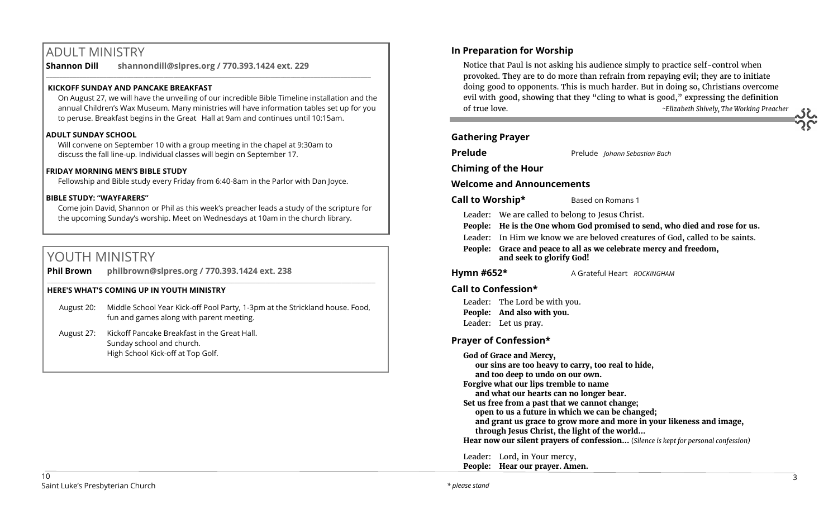# ADULT MINISTRY

**Shannon Dill shannondill@slpres.org / 770.393.1424 ext. 229** 

#### **KICKOFF SUNDAY AND PANCAKE BREAKFAST**

On August 27, we will have the unveiling of our incredible Bible Timeline installation and the annual Children's Wax Museum. Many ministries will have information tables set up for you to peruse. Breakfast begins in the Great Hall at 9am and continues until 10:15am.

 $\_$  ,  $\_$  ,  $\_$  ,  $\_$  ,  $\_$  ,  $\_$  ,  $\_$  ,  $\_$  ,  $\_$  ,  $\_$  ,  $\_$  ,  $\_$  ,  $\_$  ,  $\_$  ,  $\_$  ,  $\_$  ,  $\_$  ,  $\_$  ,  $\_$  ,  $\_$ 

### **ADULT SUNDAY SCHOOL**

Will convene on September 10 with a group meeting in the chapel at 9:30am to discuss the fall line-up. Individual classes will begin on September 17.

### **FRIDAY MORNING MEN'S BIBLE STUDY**

Fellowship and Bible study every Friday from 6:40-8am in the Parlor with Dan Joyce.

#### **BIBLE STUDY: "WAYFARERS"**

Come join David, Shannon or Phil as this week's preacher leads a study of the scripture for the upcoming Sunday's worship. Meet on Wednesdays at 10am in the church library.

# YOUTH MINISTRY

**Phil Brown philbrown@slpres.org / 770.393.1424 ext. 238**   $\_$  ,  $\_$  ,  $\_$  ,  $\_$  ,  $\_$  ,  $\_$  ,  $\_$  ,  $\_$  ,  $\_$  ,  $\_$  ,  $\_$  ,  $\_$  ,  $\_$  ,  $\_$  ,  $\_$  ,  $\_$  ,  $\_$  ,  $\_$  ,  $\_$  ,  $\_$  ,  $\_$  ,  $\_$  ,  $\_$  ,  $\_$  ,  $\_$  ,  $\_$  ,  $\_$  ,  $\_$  ,  $\_$  ,  $\_$  ,  $\_$  ,  $\_$  ,  $\_$  ,  $\_$  ,  $\_$  ,  $\_$  ,  $\_$  ,

#### **HERE'S WHAT'S COMING UP IN YOUTH MINISTRY**

- August 20: Middle School Year Kick-off Pool Party, 1-3pm at the Strickland house. Food, fun and games along with parent meeting.
- August 27: Kickoff Pancake Breakfast in the Great Hall. Sunday school and church. High School Kick-off at Top Golf.

#### **In Preparation for Worship**

Notice that Paul is not asking his audience simply to practice self-control when provoked. They are to do more than refrain from repaying evil; they are to initiate doing good to opponents. This is much harder. But in doing so, Christians overcome evil with good, showing that they "cling to what is good," expressing the definition of true love. *~Elizabeth Shively, The Working Preacher*

| <b>Gathering Prayer</b> |                                                                                                                                                                                                                                                                                                                 |                                                                                                                                                                                                                                                                                                                      |  |  |  |
|-------------------------|-----------------------------------------------------------------------------------------------------------------------------------------------------------------------------------------------------------------------------------------------------------------------------------------------------------------|----------------------------------------------------------------------------------------------------------------------------------------------------------------------------------------------------------------------------------------------------------------------------------------------------------------------|--|--|--|
| Prelude                 |                                                                                                                                                                                                                                                                                                                 | Prelude Johann Sebastian Bach                                                                                                                                                                                                                                                                                        |  |  |  |
|                         | <b>Chiming of the Hour</b>                                                                                                                                                                                                                                                                                      |                                                                                                                                                                                                                                                                                                                      |  |  |  |
|                         | <b>Welcome and Announcements</b>                                                                                                                                                                                                                                                                                |                                                                                                                                                                                                                                                                                                                      |  |  |  |
| Call to Worship*        |                                                                                                                                                                                                                                                                                                                 | Based on Romans 1                                                                                                                                                                                                                                                                                                    |  |  |  |
|                         | Leader: We are called to belong to Jesus Christ.<br>People: He is the One whom God promised to send, who died and rose for us.<br>Leader: In Him we know we are beloved creatures of God, called to be saints.<br>People: Grace and peace to all as we celebrate mercy and freedom,<br>and seek to glorify God! |                                                                                                                                                                                                                                                                                                                      |  |  |  |
| Hymn #652*              |                                                                                                                                                                                                                                                                                                                 | A Grateful Heart ROCKINGHAM                                                                                                                                                                                                                                                                                          |  |  |  |
| Call to Confession*     |                                                                                                                                                                                                                                                                                                                 |                                                                                                                                                                                                                                                                                                                      |  |  |  |
|                         | Leader: The Lord be with you.<br>People: And also with you.<br>Leader: Let us pray.                                                                                                                                                                                                                             |                                                                                                                                                                                                                                                                                                                      |  |  |  |
|                         | <b>Prayer of Confession*</b>                                                                                                                                                                                                                                                                                    |                                                                                                                                                                                                                                                                                                                      |  |  |  |
|                         | God of Grace and Mercy,<br>and too deep to undo on our own.<br>Forgive what our lips tremble to name<br>and what our hearts can no longer bear.<br>Set us free from a past that we cannot change;                                                                                                               | our sins are too heavy to carry, too real to hide,<br>open to us a future in which we can be changed;<br>and grant us grace to grow more and more in your likeness and image,<br>through Jesus Christ, the light of the world<br>Hear now our silent prayers of confession (Silence is kept for personal confession) |  |  |  |

Leader: Lord, in Your mercy, **People: Hear our prayer. Amen.**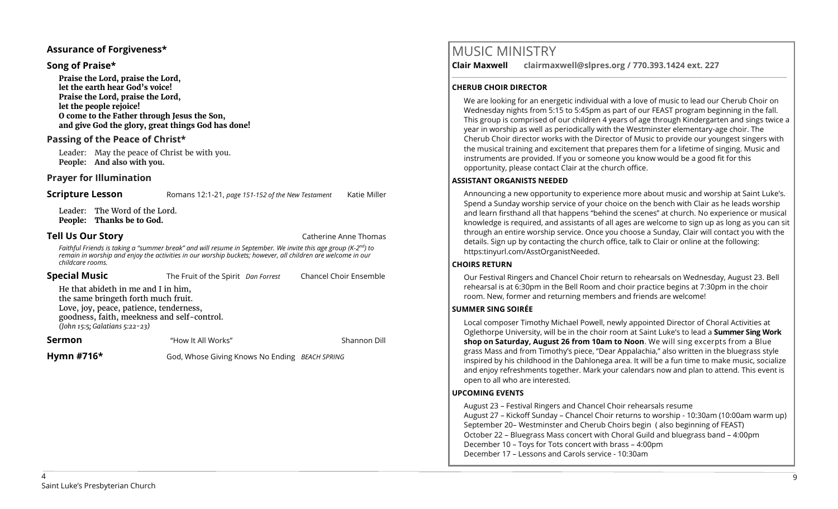#### **Assurance of Forgiveness\***

#### **Song of Praise\***

**Praise the Lord, praise the Lord, let the earth hear God's voice! Praise the Lord, praise the Lord, let the people rejoice! O come to the Father through Jesus the Son, and give God the glory, great things God has done!** 

#### **Passing of the Peace of Christ\***

Leader: May the peace of Christ be with you. **People: And also with you.**

#### **Prayer for Illumination**

**Scripture Lesson** Romans 12:1-21, *page 151-152 of the New Testament* Katie Miller

Leader: The Word of the Lord. **People: Thanks be to God.**

**Tell Us Our Story Catherine Anne Thomas Catherine Anne Thomas Catherine Anne Thomas** 

*Faithful Friends is taking a "summer break" and will resume in September. We invite this age group (K-2 nd) to remain in worship and enjoy the activities in our worship buckets; however, all children are welcome in our childcare rooms.*

| <b>Special Music</b>                                                                                                                                                                                   | The Fruit of the Spirit Dan Forrest            | <b>Chancel Choir Ensemble</b> |
|--------------------------------------------------------------------------------------------------------------------------------------------------------------------------------------------------------|------------------------------------------------|-------------------------------|
| He that abideth in me and I in him,<br>the same bringeth forth much fruit.<br>Love, joy, peace, patience, tenderness,<br>goodness, faith, meekness and self-control.<br>(John 15:5; Galatians 5:22-23) |                                                |                               |
| Sermon                                                                                                                                                                                                 | "How It All Works"                             | Shannon Dill                  |
| Hymn #716*                                                                                                                                                                                             | God, Whose Giving Knows No Ending BEACH SPRING |                               |

# MUSIC MINISTRY

**Clair Maxwell clairmaxwell@slpres.org / 770.393.1424 ext. 227** 

#### **CHERUB CHOIR DIRECTOR**

We are looking for an energetic individual with a love of music to lead our Cherub Choir on Wednesday nights from 5:15 to 5:45pm as part of our FEAST program beginning in the fall. This group is comprised of our children 4 years of age through Kindergarten and sings twice a year in worship as well as periodically with the Westminster elementary-age choir. The Cherub Choir director works with the Director of Music to provide our youngest singers with the musical training and excitement that prepares them for a lifetime of singing. Music and instruments are provided. If you or someone you know would be a good fit for this opportunity, please contact Clair at the church office.

\_\_\_\_\_\_\_\_\_\_\_\_\_\_\_\_\_\_\_\_\_\_\_\_\_\_\_\_\_\_\_\_\_\_\_\_\_\_\_\_\_\_\_\_\_\_\_\_\_\_\_\_\_\_\_\_\_\_\_\_\_\_\_\_\_\_\_\_\_\_\_\_\_\_\_\_\_\_\_\_\_\_\_\_\_\_\_\_\_\_\_\_\_\_\_\_\_\_\_\_

#### **ASSISTANT ORGANISTS NEEDED**

Announcing a new opportunity to experience more about music and worship at Saint Luke's. Spend a Sunday worship service of your choice on the bench with Clair as he leads worship and learn firsthand all that happens "behind the scenes" at church. No experience or musical knowledge is required, and assistants of all ages are welcome to sign up as long as you can sit through an entire worship service. Once you choose a Sunday, Clair will contact you with the details. Sign up by contacting the church office, talk to Clair or online at the following: https:tinyurl.com/AsstOrganistNeeded.

#### **CHOIRS RETURN**

Our Festival Ringers and Chancel Choir return to rehearsals on Wednesday, August 23. Bell rehearsal is at 6:30pm in the Bell Room and choir practice begins at 7:30pm in the choir room. New, former and returning members and friends are welcome!

#### **SUMMER SING SOIRÉE**

Local composer Timothy Michael Powell, newly appointed Director of Choral Activities at Oglethorpe University, will be in the choir room at Saint Luke's to lead a **Summer Sing Work shop on Saturday, August 26 from 10am to Noon**. We will sing excerpts from a Blue grass Mass and from Timothy's piece, "Dear Appalachia," also written in the bluegrass style inspired by his childhood in the Dahlonega area. It will be a fun time to make music, socialize and enjoy refreshments together. Mark your calendars now and plan to attend. This event is open to all who are interested.

#### **UPCOMING EVENTS**

August 23 – Festival Ringers and Chancel Choir rehearsals resume August 27 – Kickoff Sunday – Chancel Choir returns to worship - 10:30am (10:00am warm up) September 20– Westminster and Cherub Choirs begin ( also beginning of FEAST) October 22 – Bluegrass Mass concert with Choral Guild and bluegrass band – 4:00pm December 10 – Toys for Tots concert with brass – 4:00pm December 17 – Lessons and Carols service - 10:30am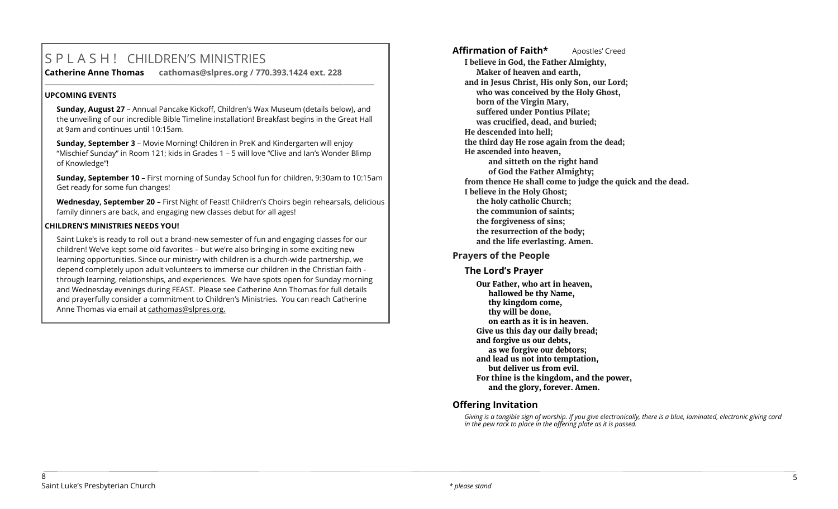# S P L A S H ! CHILDREN'S MINISTRIES

**Catherine Anne Thomas cathomas@slpres.org / 770.393.1424 ext. 228 \_\_\_\_\_\_\_\_\_\_\_\_\_\_\_\_\_\_\_\_\_\_\_\_\_\_\_\_\_\_\_\_\_\_\_\_\_\_\_\_\_\_\_\_\_\_\_\_\_\_\_\_\_\_\_\_\_\_\_\_\_\_\_\_\_\_\_\_\_\_\_\_\_\_\_\_\_\_\_\_\_\_\_\_\_\_\_\_\_\_\_\_\_\_\_\_\_\_\_\_\_\_\_\_\_\_\_** 

#### **UPCOMING EVENTS**

**Sunday, August 27** – Annual Pancake Kickoff, Children's Wax Museum (details below), and the unveiling of our incredible Bible Timeline installation! Breakfast begins in the Great Hall at 9am and continues until 10:15am.

**Sunday, September 3** – Movie Morning! Children in PreK and Kindergarten will enjoy "Mischief Sunday" in Room 121; kids in Grades 1 – 5 will love "Clive and Ian's Wonder Blimp of Knowledge"!

**Sunday, September 10** – First morning of Sunday School fun for children, 9:30am to 10:15am Get ready for some fun changes!

**Wednesday, September 20** – First Night of Feast! Children's Choirs begin rehearsals, delicious family dinners are back, and engaging new classes debut for all ages!

#### **CHILDREN'S MINISTRIES NEEDS YOU!**

Saint Luke's is ready to roll out a brand-new semester of fun and engaging classes for our children! We've kept some old favorites – but we're also bringing in some exciting new learning opportunities. Since our ministry with children is a church-wide partnership, we depend completely upon adult volunteers to immerse our children in the Christian faith through learning, relationships, and experiences. We have spots open for Sunday morning and Wednesday evenings during FEAST. Please see Catherine Ann Thomas for full details and prayerfully consider a commitment to Children's Ministries. You can reach Catherine Anne Thomas via email at cathomas@slpres.org.

Affirmation of Faith\* **Apostles'** Creed **I believe in God, the Father Almighty, Maker of heaven and earth, and in Jesus Christ, His only Son, our Lord; who was conceived by the Holy Ghost, born of the Virgin Mary, suffered under Pontius Pilate; was crucified, dead, and buried; He descended into hell; the third day He rose again from the dead; He ascended into heaven, and sitteth on the right hand of God the Father Almighty; from thence He shall come to judge the quick and the dead. I believe in the Holy Ghost; the holy catholic Church; the communion of saints; the forgiveness of sins; the resurrection of the body; and the life everlasting. Amen.**

#### **Prayers of the People**

#### **The Lord's Prayer**

**Our Father, who art in heaven, hallowed be thy Name, thy kingdom come, thy will be done, on earth as it is in heaven. Give us this day our daily bread; and forgive us our debts, as we forgive our debtors; and lead us not into temptation, but deliver us from evil. For thine is the kingdom, and the power, and the glory, forever. Amen.** 

#### **Offering Invitation**

*Giving is a tangible sign of worship. If you give electronically, there is a blue, laminated, electronic giving card in the pew rack to place in the offering plate as it is passed.*